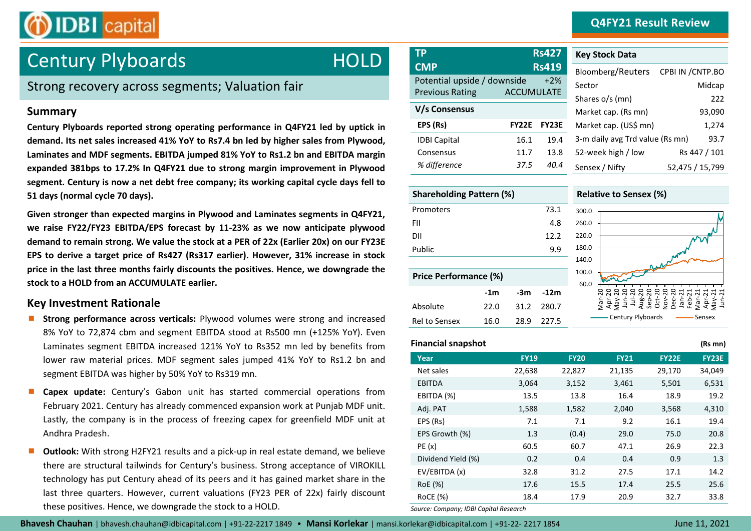### **Q4FY21 Result Review**



# **Century Plyboards CAPP RS427 RS427 RS427 RS427 RS429**

### Strong recovery across segments; Valuation fair

### **Summary**

**Century Plyboards reported strong operating performance in Q4FY21 led by uptick in demand. Its net sales increased 41% YoY to Rs7.4 bn led by higher sales from Plywood, Laminates and MDF segments. EBITDA jumped 81% YoY to Rs1.2 bn and EBITDA margin expanded 381bps to 17.2% In Q4FY21 due to strong margin improvement in Plywood segment. Century is now a net debt free company; its working capital cycle days fell to 51 days (normal cycle 70 days).**

**Given stronger than expected margins in Plywood and Laminates segments in Q4FY21, we raise FY22/FY23 EBITDA/EPS forecast by 11-23% as we now anticipate plywood demand to remain strong. We value the stock at a PER of 22x (Earlier 20x) on our FY23E EPS to derive a target price of Rs427 (Rs317 earlier). However, 31% increase in stock price in the last three months fairly discounts the positives. Hence, we downgrade the stock to a HOLD from an ACCUMULATE earlier.** 

### **Key Investment Rationale**

- **Strong performance across verticals:** Plywood volumes were strong and increased 8% YoY to 72,874 cbm and segment EBITDA stood at Rs500 mn (+125% YoY). Even Laminates segment EBITDA increased 121% YoY to Rs352 mn led by benefits from lower raw material prices. MDF segment sales jumped 41% YoY to Rs1.2 bn and segment EBITDA was higher by 50% YoY to Rs319 mn.
- **Capex update:** Century's Gabon unit has started commercial operations from February 2021. Century has already commenced expansion work at Punjab MDF unit. Lastly, the company is in the process of freezing capex for greenfield MDF unit at Andhra Pradesh.
- **Outlook:** With strong H2FY21 results and a pick-up in real estate demand, we believe there are structural tailwinds for Century's business. Strong acceptance of VIROKILL technology has put Century ahead of its peers and it has gained market share in the last three quarters. However, current valuations (FY23 PER of 22x) fairly discount these positives. Hence, we downgrade the stock to a HOLD.

| <b>TP</b>                                 | <b>Rs427</b>          | <b>Key Stock Data</b>           |                             |
|-------------------------------------------|-----------------------|---------------------------------|-----------------------------|
| <b>CMP</b><br>Potential upside / downside | <b>Rs419</b><br>$+2%$ | Bloomberg/Reuters<br>Sector     | CPBI IN / CNTP.BO<br>Midcap |
| <b>Previous Rating</b>                    | <b>ACCUMULATE</b>     | Shares o/s (mn)                 | 222                         |
| V/s Consensus                             |                       | Market cap. (Rs mn)             | 93,090                      |
| EPS (Rs)<br><b>FY22E</b>                  | <b>FY23E</b>          | Market cap. (US\$ mn)           | 1,274                       |
| <b>IDBI Capital</b><br>16.1               | 19.4                  | 3-m daily avg Trd value (Rs mn) | 93.7                        |
| 11.7<br>Consensus                         | 13.8                  | 52-week high / low              | Rs 447 / 101                |
| % difference<br>37.5                      | 40.4                  | Sensex / Nifty                  | 52,475 / 15,799             |

| <b>Shareholding Pattern (%)</b> |       |      |        |       |
|---------------------------------|-------|------|--------|-------|
| Promoters                       |       |      | 73.1   | 300.0 |
| FII                             |       |      | 4.8    | 260.0 |
| DII                             |       |      | 12.2   | 220.0 |
| Public                          |       |      | 9.9    | 180.0 |
|                                 |       |      |        | 140.0 |
| <b>Price Performance (%)</b>    |       |      |        | 100.0 |
|                                 | $-1m$ | -3m  | $-12m$ | 60.0  |
| Absolute                        | 22.0  | 31.2 | 280.7  |       |
| <b>Rel to Sensex</b>            | 16.0  | 28.9 | 227.5  |       |

| Sector                          | Midcap          |
|---------------------------------|-----------------|
| Shares o/s (mn)                 | 222             |
| Market cap. (Rs mn)             | 93,090          |
| Market cap. (US\$ mn)           | 1,274           |
| 3-m daily avg Trd value (Rs mn) | 93.7            |
| 52-week high / low              | Rs 447 / 101    |
| Sensex / Nifty                  | 52,475 / 15,799 |
|                                 |                 |
| <b>Relative to Sensex (%)</b>   |                 |
| 300.0                           |                 |



### **Financial snapshot (Rs mn)**

| Year               | <b>FY19</b> | <b>FY20</b> | <b>FY21</b> | <b>FY22E</b> | <b>FY23E</b> |
|--------------------|-------------|-------------|-------------|--------------|--------------|
| Net sales          | 22,638      | 22,827      | 21,135      | 29,170       | 34,049       |
| <b>EBITDA</b>      | 3,064       | 3,152       | 3,461       | 5,501        | 6,531        |
| EBITDA (%)         | 13.5        | 13.8        | 16.4        | 18.9         | 19.2         |
| Adj. PAT           | 1,588       | 1,582       | 2,040       | 3,568        | 4,310        |
| EPS (Rs)           | 7.1         | 7.1         | 9.2         | 16.1         | 19.4         |
| EPS Growth (%)     | 1.3         | (0.4)       | 29.0        | 75.0         | 20.8         |
| PE(x)              | 60.5        | 60.7        | 47.1        | 26.9         | 22.3         |
| Dividend Yield (%) | 0.2         | 0.4         | 0.4         | 0.9          | 1.3          |
| EV/EBITDA (x)      | 32.8        | 31.2        | 27.5        | 17.1         | 14.2         |
| RoE (%)            | 17.6        | 15.5        | 17.4        | 25.5         | 25.6         |
| RoCE (%)           | 18.4        | 17.9        | 20.9        | 32.7         | 33.8         |
|                    |             |             |             |              |              |

*Source: Company; IDBI Capital Research*

**Bhavesh Chauhan** | bhavesh.chauhan@idbicapital.com | +91-22-2217 1849 **Mansi Korlekar** | mansi.korlekar@idbicapital.com | +91-22- 2217 1854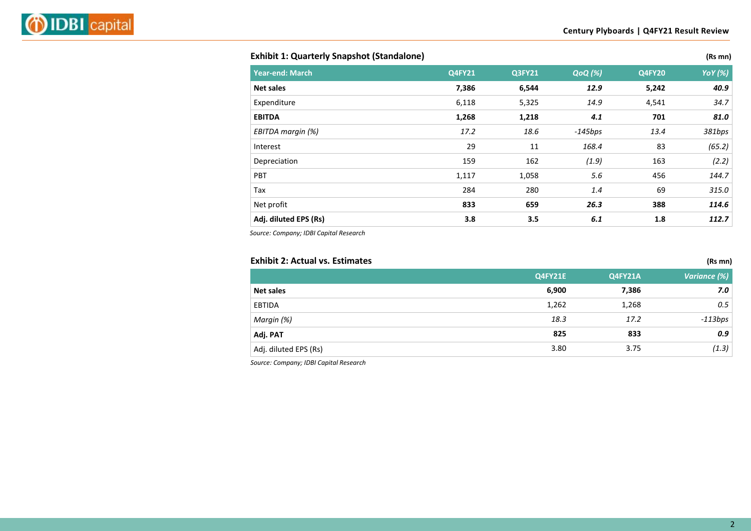### **Exhibit 1: Quarterly Snapshot (Standalone) (Rs mn)** (Rs mn)

| (Rs mi |  |
|--------|--|
|        |  |

| <b>Year-end: March</b> | <b>Q4FY21</b> | <b>Q3FY21</b> | <b>QoQ</b> (%) | <b>Q4FY20</b> | <b>YoY</b> (%) |
|------------------------|---------------|---------------|----------------|---------------|----------------|
| Net sales              | 7,386         | 6,544         | 12.9           | 5,242         | 40.9           |
| Expenditure            | 6,118         | 5,325         | 14.9           | 4,541         | 34.7           |
| <b>EBITDA</b>          | 1,268         | 1,218         | 4.1            | 701           | 81.0           |
| EBITDA margin (%)      | 17.2          | 18.6          | $-145bps$      | 13.4          | 381bps         |
| Interest               | 29            | 11            | 168.4          | 83            | (65.2)         |
| Depreciation           | 159           | 162           | (1.9)          | 163           | (2.2)          |
| PBT                    | 1,117         | 1,058         | 5.6            | 456           | 144.7          |
| Tax                    | 284           | 280           | 1.4            | 69            | 315.0          |
| Net profit             | 833           | 659           | 26.3           | 388           | 114.6          |
| Adj. diluted EPS (Rs)  | 3.8           | 3.5           | 6.1            | 1.8           | 112.7          |

*Source: Company; IDBI Capital Research*

### **Exhibit 2: Actual vs. Estimates (Rs mn) Q4FY21E Q4FY21A** *Variance (%)* **Net sales 6,900 7,386** *7.0* EBTIDA 1,262 1,268 *0.5 Margin (%) 18.3 17.2 -113bps* **Adj. PAT 825 833** *0.9* Adj. diluted EPS (Rs) 3.80 3.75 *(1.3)*

*Source: Company; IDBI Capital Research*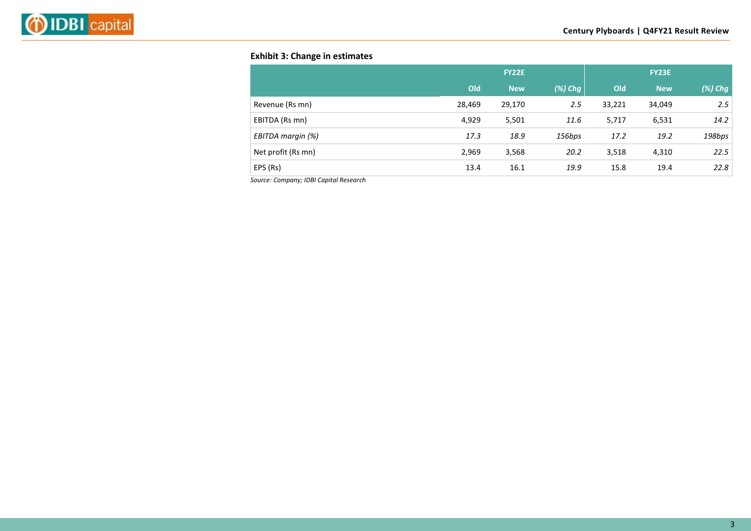

### **Exhibit 3: Change in estimates**

|                    |        | <b>FY22E</b> |            |        | <b>FY23E</b> |         |
|--------------------|--------|--------------|------------|--------|--------------|---------|
|                    | Old    | <b>New</b>   | $(\%)$ Chg | Old    | <b>New</b>   | (%) Chg |
| Revenue (Rs mn)    | 28,469 | 29,170       | 2.5        | 33,221 | 34,049       | 2.5     |
| EBITDA (Rs mn)     | 4,929  | 5,501        | 11.6       | 5,717  | 6,531        | 14.2    |
| EBITDA margin (%)  | 17.3   | 18.9         | 156bps     | 17.2   | 19.2         | 198bps  |
| Net profit (Rs mn) | 2,969  | 3,568        | 20.2       | 3,518  | 4,310        | 22.5    |
| EPS (Rs)           | 13.4   | 16.1         | 19.9       | 15.8   | 19.4         | 22.8    |

*Source: Company; IDBI Capital Research*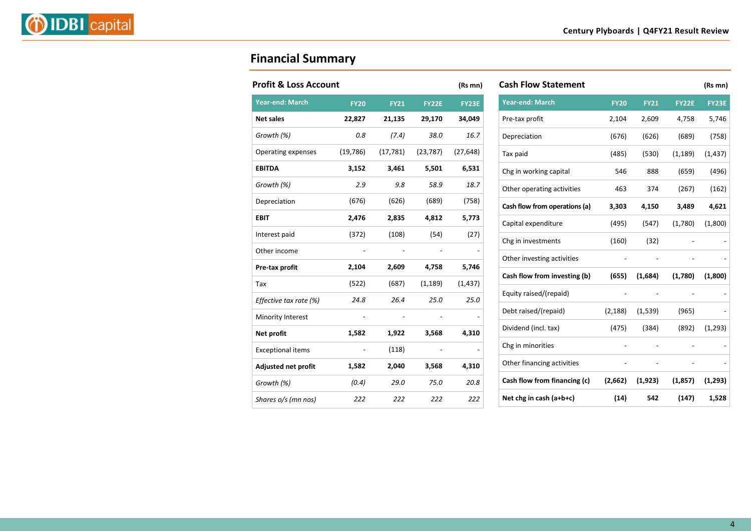

## **Financial Summary**

| <b>Profit &amp; Loss Account</b> |             |             |              | (Rs mn)   |
|----------------------------------|-------------|-------------|--------------|-----------|
| <b>Year-end: March</b>           | <b>FY20</b> | <b>FY21</b> | <b>FY22E</b> | FY23E     |
| <b>Net sales</b>                 | 22,827      | 21,135      | 29,170       | 34,049    |
| Growth (%)                       | 0.8         | (7.4)       | 38.0         | 16.7      |
| Operating expenses               | (19, 786)   | (17, 781)   | (23, 787)    | (27, 648) |
| <b>EBITDA</b>                    | 3,152       | 3,461       | 5,501        | 6,531     |
| Growth (%)                       | 2.9         | 9.8         | 58.9         | 18.7      |
| Depreciation                     | (676)       | (626)       | (689)        | (758)     |
| <b>EBIT</b>                      | 2,476       | 2,835       | 4,812        | 5,773     |
| Interest paid                    | (372)       | (108)       | (54)         | (27)      |
| Other income                     |             |             |              |           |
| Pre-tax profit                   | 2,104       | 2,609       | 4,758        | 5,746     |
| Tax                              | (522)       | (687)       | (1, 189)     | (1, 437)  |
| Effective tax rate (%)           | 24.8        | 26.4        | 25.0         | 25.0      |
| Minority Interest                |             |             |              |           |
| Net profit                       | 1,582       | 1,922       | 3,568        | 4,310     |
| <b>Exceptional items</b>         |             | (118)       |              |           |
| Adjusted net profit              | 1,582       | 2,040       | 3,568        | 4,310     |
| Growth (%)                       | (0.4)       | 29.0        | 75.0         | 20.8      |
| Shares o/s (mn nos)              | 222         | 222         | 222          | 222       |

| <b>Cash Flow Statement</b>    |             |             |              | (Rs mn)      |
|-------------------------------|-------------|-------------|--------------|--------------|
| <b>Year-end: March</b>        | <b>FY20</b> | <b>FY21</b> | <b>FY22E</b> | <b>FY23E</b> |
| Pre-tax profit                | 2,104       | 2,609       | 4,758        | 5,746        |
| Depreciation                  | (676)       | (626)       | (689)        | (758)        |
| Tax paid                      | (485)       | (530)       | (1, 189)     | (1, 437)     |
| Chg in working capital        | 546         | 888         | (659)        | (496)        |
| Other operating activities    | 463         | 374         | (267)        | (162)        |
| Cash flow from operations (a) | 3,303       | 4,150       | 3,489        | 4,621        |
| Capital expenditure           | (495)       | (547)       | (1,780)      | (1,800)      |
| Chg in investments            | (160)       | (32)        |              |              |
| Other investing activities    |             |             |              |              |
| Cash flow from investing (b)  | (655)       | (1,684)     | (1,780)      | (1,800)      |
| Equity raised/(repaid)        |             |             |              |              |
| Debt raised/(repaid)          | (2, 188)    | (1, 539)    | (965)        |              |
| Dividend (incl. tax)          | (475)       | (384)       | (892)        | (1, 293)     |
| Chg in minorities             |             |             |              |              |
| Other financing activities    |             |             |              |              |
| Cash flow from financing (c)  | (2,662)     | (1, 923)    | (1, 857)     | (1, 293)     |
| Net chg in cash $(a+b+c)$     | (14)        | 542         | (147)        | 1,528        |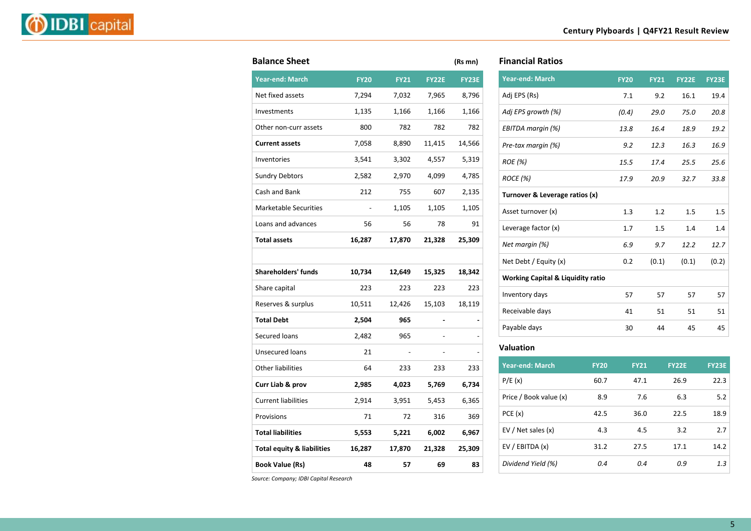|--|--|

| <b>Balance Sheet</b>                  |             |             |              | (Rs mn)      |
|---------------------------------------|-------------|-------------|--------------|--------------|
| <b>Year-end: March</b>                | <b>FY20</b> | <b>FY21</b> | <b>FY22E</b> | <b>FY23E</b> |
| Net fixed assets                      | 7,294       | 7,032       | 7,965        | 8,796        |
| Investments                           | 1,135       | 1,166       | 1,166        | 1,166        |
| Other non-curr assets                 | 800         | 782         | 782          | 782          |
| <b>Current assets</b>                 | 7,058       | 8,890       | 11,415       | 14,566       |
| Inventories                           | 3,541       | 3,302       | 4,557        | 5,319        |
| <b>Sundry Debtors</b>                 | 2,582       | 2,970       | 4,099        | 4,785        |
| Cash and Bank                         | 212         | 755         | 607          | 2,135        |
| <b>Marketable Securities</b>          |             | 1,105       | 1,105        | 1,105        |
| Loans and advances                    | 56          | 56          | 78           | 91           |
| <b>Total assets</b>                   | 16,287      | 17,870      | 21,328       | 25,309       |
|                                       |             |             |              |              |
| <b>Shareholders' funds</b>            | 10,734      | 12,649      | 15,325       | 18,342       |
| Share capital                         | 223         | 223         | 223          | 223          |
| Reserves & surplus                    | 10,511      | 12,426      | 15,103       | 18,119       |
| <b>Total Debt</b>                     | 2,504       | 965         |              |              |
| Secured loans                         | 2,482       | 965         |              |              |
| Unsecured loans                       | 21          |             |              |              |
| <b>Other liabilities</b>              | 64          | 233         | 233          | 233          |
| Curr Liab & prov                      | 2,985       | 4,023       | 5,769        | 6,734        |
| <b>Current liabilities</b>            | 2,914       | 3,951       | 5,453        | 6,365        |
| Provisions                            | 71          | 72          | 316          | 369          |
| <b>Total liabilities</b>              | 5,553       | 5,221       | 6,002        | 6,967        |
| <b>Total equity &amp; liabilities</b> | 16,287      | 17,870      | 21,328       | 25,309       |
| <b>Book Value (Rs)</b>                | 48          | 57          | 69           | 83           |

### **Financial Ratios**

| <b>Year-end: March</b>                       | <b>FY20</b> | <b>FY21</b> | <b>FY22E</b> | <b>FY23E</b> |
|----------------------------------------------|-------------|-------------|--------------|--------------|
| Adj EPS (Rs)                                 | 7.1         | 9.2         | 16.1         | 19.4         |
| Adj EPS growth (%)                           | (0.4)       | 29.0        | 75.0         | 20.8         |
| EBITDA margin (%)                            | 13.8        | 16.4        | 18.9         | 19.2         |
| Pre-tax margin (%)                           | 9.2         | 12.3        | 16.3         | 16.9         |
| <b>ROE</b> (%)                               | 15.5        | 17.4        | 25.5         | 25.6         |
| <b>ROCE</b> (%)                              | 17.9        | 20.9        | 32.7         | 33.8         |
| Turnover & Leverage ratios (x)               |             |             |              |              |
| Asset turnover (x)                           | 1.3         | 1.2         | 1.5          | 1.5          |
| Leverage factor (x)                          | 1.7         | 1.5         | 1.4          | 1.4          |
| Net margin (%)                               | 6.9         | 9.7         | 12.2         | 12.7         |
| Net Debt / Equity (x)                        | 0.2         | (0.1)       | (0.1)        | (0.2)        |
| <b>Working Capital &amp; Liquidity ratio</b> |             |             |              |              |
| Inventory days                               | 57          | 57          | 57           | 57           |
| Receivable days                              | 41          | 51          | 51           | 51           |
| Payable days                                 | 30          | 44          | 45           | 45           |

### **Valuation**

| <b>Year-end: March</b> | <b>FY20</b> | <b>FY21</b> | <b>FY22E</b> | <b>FY23E</b> |
|------------------------|-------------|-------------|--------------|--------------|
| P/E(x)                 | 60.7        | 47.1        | 26.9         | 22.3         |
| Price / Book value (x) | 8.9         | 7.6         | 6.3          | 5.2          |
| PCE(x)                 | 42.5        | 36.0        | 22.5         | 18.9         |
| EV / Net sales (x)     | 4.3         | 4.5         | 3.2          | 2.7          |
| EV / EBITDA (x)        | 31.2        | 27.5        | 17.1         | 14.2         |
| Dividend Yield (%)     | 0.4         | 0.4         | 0.9          | 1.3          |

*Source: Company; IDBI Capital Research*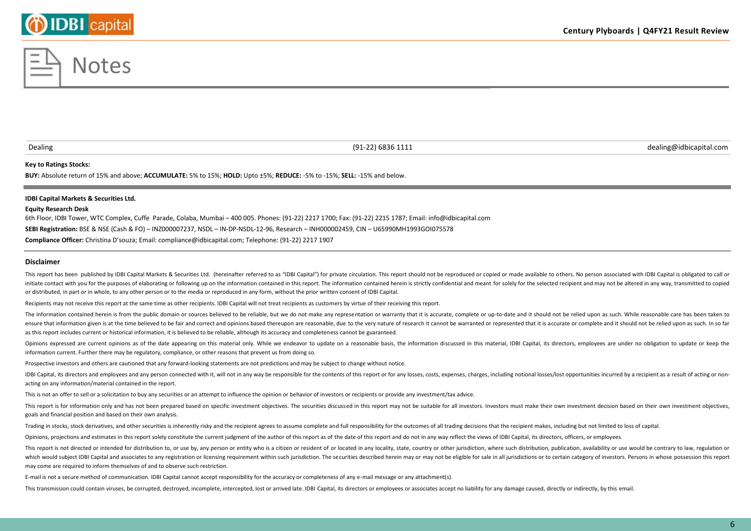### **Century Plyboards | Q4FY21 Result Review**

### **Key to Ratings Stocks:**

**BUY:** Absolute return of 15% and above; **ACCUMULATE:** 5% to 15%; **HOLD:** Upto ±5%; **REDUCE:** -5% to -15%; **SELL:** -15% and below.

### **IDBI Capital Markets & Securities Ltd.**

### **Equity Research Desk**

6th Floor, IDBI Tower, WTC Complex, Cuffe Parade, Colaba, Mumbai – 400 005. Phones: (91-22) 2217 1700; Fax: (91-22) 2215 1787; Email: info@idbicapital.com **SEBI Registration:** BSE & NSE (Cash & FO) – INZ000007237, NSDL – IN-DP-NSDL-12-96, Research – INH000002459, CIN – U65990MH1993GOI075578 **Compliance Officer:** Christina D'souza; Email: compliance@idbicapital.com; Telephone: (91-22) 2217 1907

**Disclaimer**

This report has been published by IDBI Capital Markets & Securities Ltd. (hereinafter referred to as "IDBI Capital") for private circulation. This report should not be reproduced or copied or made available to others. No p initiate contact with you for the purposes of elaborating or following up on the information contained in this report. The information contained herein is strictly confidential and meant for solely for the selected recipie or distributed, in part or in whole, to any other person or to the media or reproduced in any form, without the prior written consent of IDBI Capital.

Recipients may not receive this report at the same time as other recipients. IDBI Capital will not treat recipients as customers by virtue of their receiving this report.

The information contained herein is from the public domain or sources believed to be reliable, but we do not make any representation or warranty that it is accurate, complete or up-to-date and it should not be relied upon ensure that information given is at the time believed to be fair and correct and opinions based thereupon are reasonable, due to the very nature of research it cannot be warranted or represented that it is accurate or comp as this report includes current or historical information, it is believed to be reliable, although its accuracy and completeness cannot be guaranteed.

Opinions expressed are current opinions as of the date appearing on this material only. While we endeavor to update on a reasonable basis, the information discussed in this material, IDBI Capital, its directors, employees information current. Further there may be regulatory, compliance, or other reasons that prevent us from doing so.

Prospective investors and others are cautioned that any forward-looking statements are not predictions and may be subject to change without notice.

IDBI Capital, its directors and employees and any person connected with it, will not in any way be responsible for the contents of this report or for any losses, costs, expenses, charges, including notional losses/lost opp acting on any information/material contained in the report.

This is not an offer to sell or a solicitation to buy any securities or an attempt to influence the opinion or behavior of investors or recipients or provide any investment/tax advice.

This report is for information only and has not been prepared based on specific investment objectives. The securities discussed in this report may not be suitable for all investors. Investors must make their own investment goals and financial position and based on their own analysis.

Trading in stocks, stock derivatives, and other securities is inherently risky and the recipient agrees to assume complete and full responsibility for the outcomes of all trading decisions that the recipient makes, includi

Opinions, projections and estimates in this report solely constitute the current judgment of the author of this report as of the date of this report and do not in any way reflect the views of IDBI Capital, its directors, o

This report is not directed or intended for distribution to, or use by, any person or entity who is a citizen or resident of or located in any locality, state, country or other jurisdiction, where such distribution, public which would subject IDBI Capital and associates to any registration or licensing requirement within such jurisdiction. The securities described herein may or may not be eligible for sale in all jurisdictions or to certain may come are required to inform themselves of and to observe such restriction.

E-mail is not a secure method of communication. IDBI Capital cannot accept responsibility for the accuracy or completeness of any e-mail message or any attachment(s).

This transmission could contain viruses, be corrupted, destroyed, incomplete, intercepted, lost or arrived late. IDBI Capital, its directors or employees or associates accept no liability for any damage caused, directly or



Dealing (91-22) 6836 1111 dealing@idbicapital.com